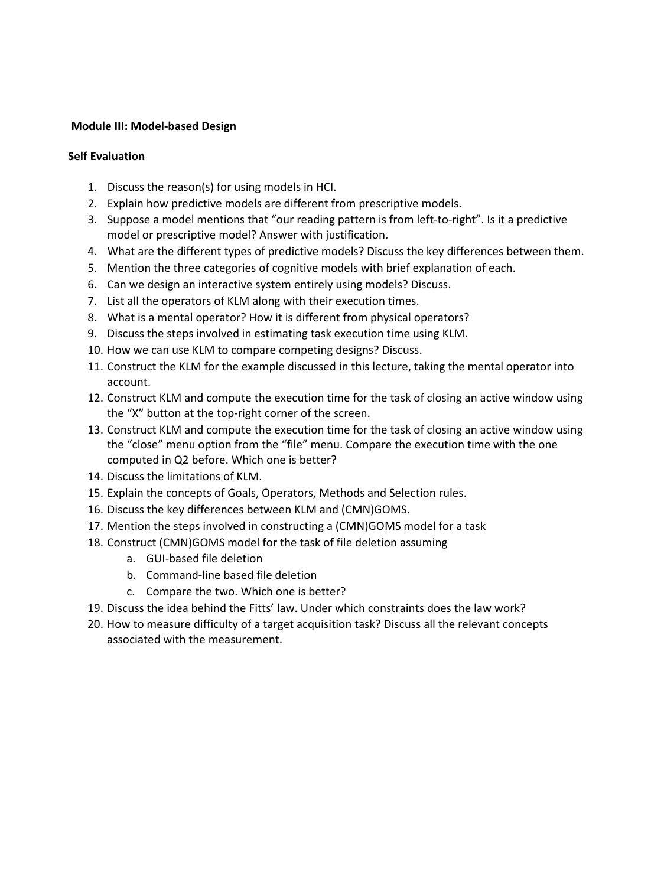## **Module III: Model-based Design**

## **Self Evaluation**

- 1. Discuss the reason(s) for using models in HCI.
- 2. Explain how predictive models are different from prescriptive models.
- 3. Suppose a model mentions that "our reading pattern is from left-to-right". Is it a predictive model or prescriptive model? Answer with justification.
- 4. What are the different types of predictive models? Discuss the key differences between them.
- 5. Mention the three categories of cognitive models with brief explanation of each.
- 6. Can we design an interactive system entirely using models? Discuss.
- 7. List all the operators of KLM along with their execution times.
- 8. What is a mental operator? How it is different from physical operators?
- 9. Discuss the steps involved in estimating task execution time using KLM.
- 10. How we can use KLM to compare competing designs? Discuss.
- 11. Construct the KLM for the example discussed in this lecture, taking the mental operator into account.
- 12. Construct KLM and compute the execution time for the task of closing an active window using the "X" button at the top-right corner of the screen.
- 13. Construct KLM and compute the execution time for the task of closing an active window using the "close" menu option from the "file" menu. Compare the execution time with the one computed in Q2 before. Which one is better?
- 14. Discuss the limitations of KLM.
- 15. Explain the concepts of Goals, Operators, Methods and Selection rules.
- 16. Discuss the key differences between KLM and (CMN)GOMS.
- 17. Mention the steps involved in constructing a (CMN)GOMS model for a task
- 18. Construct (CMN)GOMS model for the task of file deletion assuming
	- a. GUI-based file deletion
	- b. Command-line based file deletion
	- c. Compare the two. Which one is better?
- 19. Discuss the idea behind the Fitts' law. Under which constraints does the law work?
- 20. How to measure difficulty of a target acquisition task? Discuss all the relevant concepts associated with the measurement.